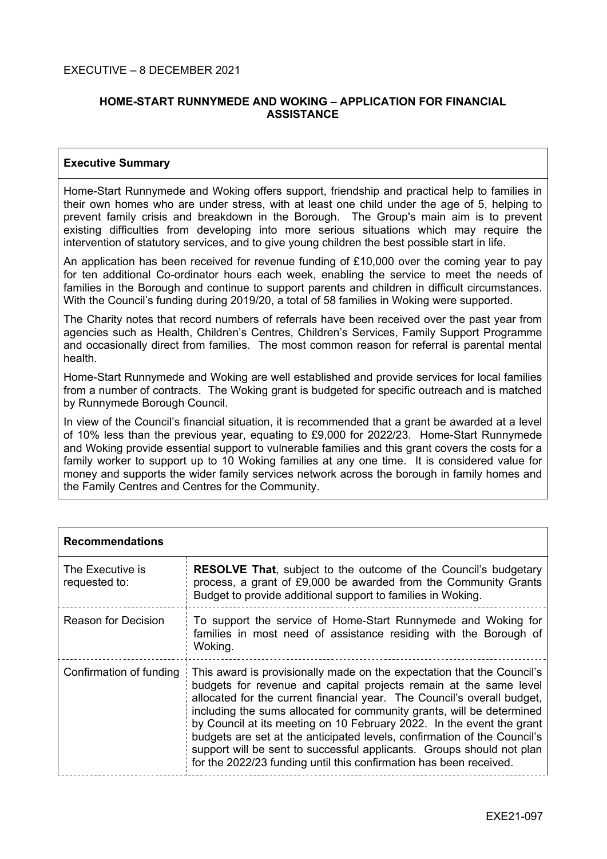# **HOME-START RUNNYMEDE AND WOKING – APPLICATION FOR FINANCIAL ASSISTANCE**

# **Executive Summary**

Home-Start Runnymede and Woking offers support, friendship and practical help to families in their own homes who are under stress, with at least one child under the age of 5, helping to prevent family crisis and breakdown in the Borough. The Group's main aim is to prevent existing difficulties from developing into more serious situations which may require the intervention of statutory services, and to give young children the best possible start in life.

An application has been received for revenue funding of £10,000 over the coming year to pay for ten additional Co-ordinator hours each week, enabling the service to meet the needs of families in the Borough and continue to support parents and children in difficult circumstances. With the Council's funding during 2019/20, a total of 58 families in Woking were supported.

The Charity notes that record numbers of referrals have been received over the past year from agencies such as Health, Children's Centres, Children's Services, Family Support Programme and occasionally direct from families. The most common reason for referral is parental mental health.

Home-Start Runnymede and Woking are well established and provide services for local families from a number of contracts. The Woking grant is budgeted for specific outreach and is matched by Runnymede Borough Council.

In view of the Council's financial situation, it is recommended that a grant be awarded at a level of 10% less than the previous year, equating to £9,000 for 2022/23. Home-Start Runnymede and Woking provide essential support to vulnerable families and this grant covers the costs for a family worker to support up to 10 Woking families at any one time. It is considered value for money and supports the wider family services network across the borough in family homes and the Family Centres and Centres for the Community.

| <b>Recommendations</b>            |                                                                                                                                                                                                                                                                                                                                                                                                                                                                                                                                                                                                     |
|-----------------------------------|-----------------------------------------------------------------------------------------------------------------------------------------------------------------------------------------------------------------------------------------------------------------------------------------------------------------------------------------------------------------------------------------------------------------------------------------------------------------------------------------------------------------------------------------------------------------------------------------------------|
| The Executive is<br>requested to: | <b>RESOLVE That, subject to the outcome of the Council's budgetary</b><br>process, a grant of £9,000 be awarded from the Community Grants<br>Budget to provide additional support to families in Woking.                                                                                                                                                                                                                                                                                                                                                                                            |
| <b>Reason for Decision</b>        | To support the service of Home-Start Runnymede and Woking for<br>families in most need of assistance residing with the Borough of<br>Woking.                                                                                                                                                                                                                                                                                                                                                                                                                                                        |
| Confirmation of funding           | This award is provisionally made on the expectation that the Council's<br>budgets for revenue and capital projects remain at the same level<br>allocated for the current financial year. The Council's overall budget,<br>including the sums allocated for community grants, will be determined<br>by Council at its meeting on 10 February 2022. In the event the grant<br>budgets are set at the anticipated levels, confirmation of the Council's<br>support will be sent to successful applicants. Groups should not plan<br>for the 2022/23 funding until this confirmation has been received. |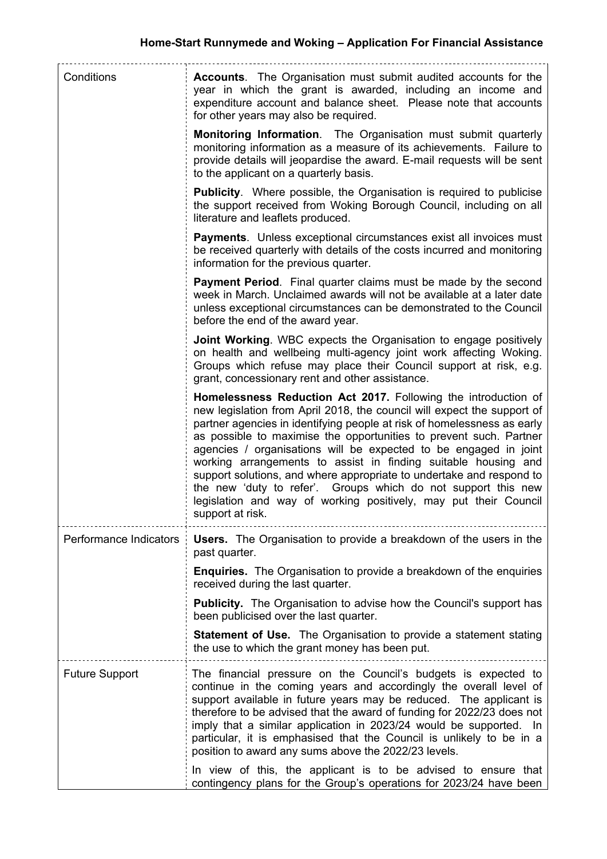| Conditions             | <b>Accounts.</b> The Organisation must submit audited accounts for the<br>year in which the grant is awarded, including an income and<br>expenditure account and balance sheet. Please note that accounts<br>for other years may also be required.                                                                                                                                                                                                                                                                                                                                                                                                                |
|------------------------|-------------------------------------------------------------------------------------------------------------------------------------------------------------------------------------------------------------------------------------------------------------------------------------------------------------------------------------------------------------------------------------------------------------------------------------------------------------------------------------------------------------------------------------------------------------------------------------------------------------------------------------------------------------------|
|                        | <b>Monitoring Information.</b> The Organisation must submit quarterly<br>monitoring information as a measure of its achievements. Failure to<br>provide details will jeopardise the award. E-mail requests will be sent<br>to the applicant on a quarterly basis.                                                                                                                                                                                                                                                                                                                                                                                                 |
|                        | <b>Publicity.</b> Where possible, the Organisation is required to publicise<br>the support received from Woking Borough Council, including on all<br>literature and leaflets produced.                                                                                                                                                                                                                                                                                                                                                                                                                                                                            |
|                        | <b>Payments.</b> Unless exceptional circumstances exist all invoices must<br>be received quarterly with details of the costs incurred and monitoring<br>information for the previous quarter.                                                                                                                                                                                                                                                                                                                                                                                                                                                                     |
|                        | <b>Payment Period.</b> Final quarter claims must be made by the second<br>week in March. Unclaimed awards will not be available at a later date<br>unless exceptional circumstances can be demonstrated to the Council<br>before the end of the award year.                                                                                                                                                                                                                                                                                                                                                                                                       |
|                        | <b>Joint Working.</b> WBC expects the Organisation to engage positively<br>on health and wellbeing multi-agency joint work affecting Woking.<br>Groups which refuse may place their Council support at risk, e.g.<br>grant, concessionary rent and other assistance.                                                                                                                                                                                                                                                                                                                                                                                              |
|                        | Homelessness Reduction Act 2017. Following the introduction of<br>new legislation from April 2018, the council will expect the support of<br>partner agencies in identifying people at risk of homelessness as early<br>as possible to maximise the opportunities to prevent such. Partner<br>agencies / organisations will be expected to be engaged in joint<br>working arrangements to assist in finding suitable housing and<br>support solutions, and where appropriate to undertake and respond to<br>the new 'duty to refer'. Groups which do not support this new<br>legislation and way of working positively, may put their Council<br>support at risk. |
| Performance Indicators | <b>Users.</b> The Organisation to provide a breakdown of the users in the<br>past quarter.                                                                                                                                                                                                                                                                                                                                                                                                                                                                                                                                                                        |
|                        | <b>Enquiries.</b> The Organisation to provide a breakdown of the enquiries<br>received during the last quarter.                                                                                                                                                                                                                                                                                                                                                                                                                                                                                                                                                   |
|                        | <b>Publicity.</b> The Organisation to advise how the Council's support has<br>been publicised over the last quarter.                                                                                                                                                                                                                                                                                                                                                                                                                                                                                                                                              |
|                        | <b>Statement of Use.</b> The Organisation to provide a statement stating<br>the use to which the grant money has been put.                                                                                                                                                                                                                                                                                                                                                                                                                                                                                                                                        |
| <b>Future Support</b>  | The financial pressure on the Council's budgets is expected to<br>continue in the coming years and accordingly the overall level of<br>support available in future years may be reduced. The applicant is<br>therefore to be advised that the award of funding for 2022/23 does not<br>imply that a similar application in 2023/24 would be supported. In<br>particular, it is emphasised that the Council is unlikely to be in a<br>position to award any sums above the 2022/23 levels.                                                                                                                                                                         |
|                        | In view of this, the applicant is to be advised to ensure that<br>contingency plans for the Group's operations for 2023/24 have been                                                                                                                                                                                                                                                                                                                                                                                                                                                                                                                              |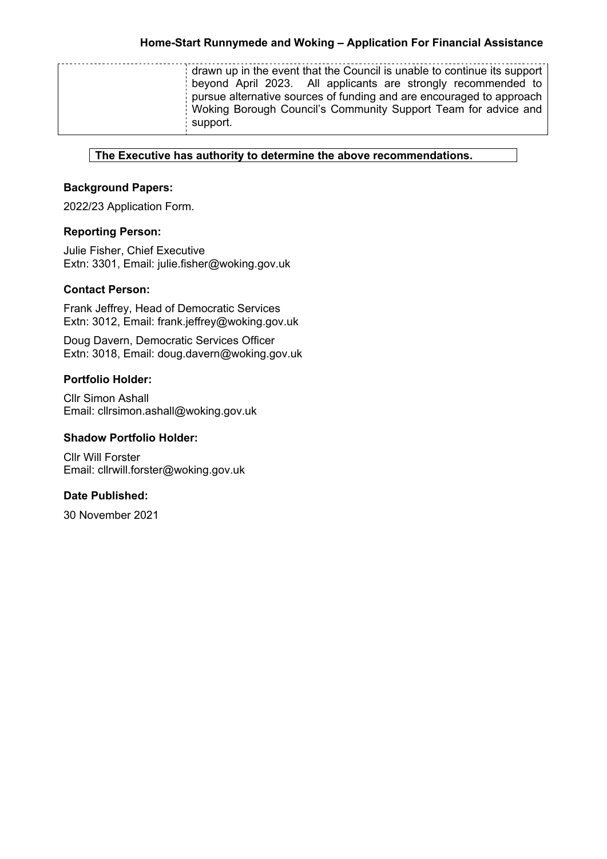| drawn up in the event that the Council is unable to continue its support<br>beyond April 2023. All applicants are strongly recommended to<br>pursue alternative sources of funding and are encouraged to approach<br>Woking Borough Council's Community Support Team for advice and<br>support. |
|-------------------------------------------------------------------------------------------------------------------------------------------------------------------------------------------------------------------------------------------------------------------------------------------------|
|-------------------------------------------------------------------------------------------------------------------------------------------------------------------------------------------------------------------------------------------------------------------------------------------------|

## **The Executive has authority to determine the above recommendations.**

# **Background Papers:**

2022/23 Application Form.

# **Reporting Person:**

Julie Fisher, Chief Executive Extn: 3301, Email: julie.fisher@woking.gov.uk

## **Contact Person:**

Frank Jeffrey, Head of Democratic Services Extn: 3012, Email: frank.jeffrey@woking.gov.uk

Doug Davern, Democratic Services Officer Extn: 3018, Email: doug.davern@woking.gov.uk

# **Portfolio Holder:**

Cllr Simon Ashall Email: cllrsimon.ashall@woking.gov.uk

#### **Shadow Portfolio Holder:**

Cllr Will Forster Email: cllrwill.forster@woking.gov.uk

# **Date Published:**

30 November 2021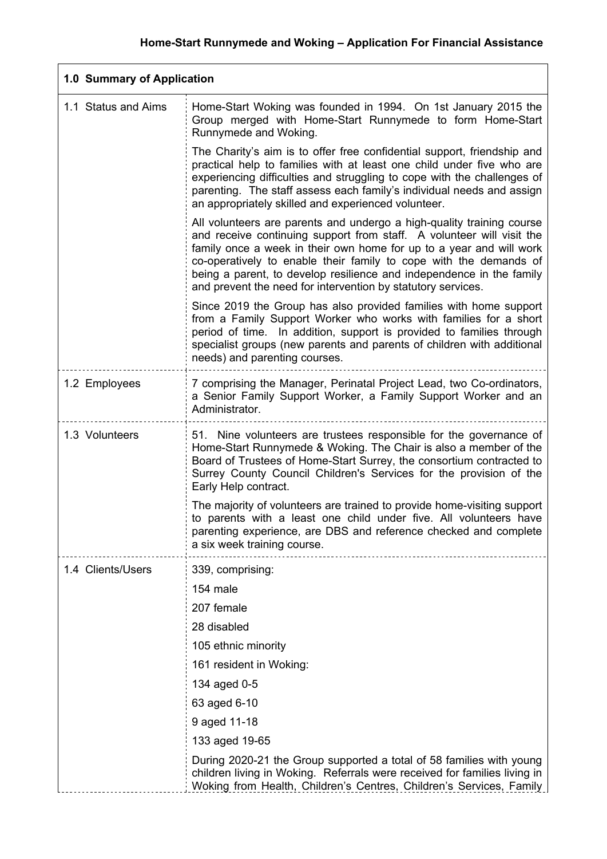| 1.0 Summary of Application |                                                                                                                                                                                                                                                                                                                                                                                                                                    |
|----------------------------|------------------------------------------------------------------------------------------------------------------------------------------------------------------------------------------------------------------------------------------------------------------------------------------------------------------------------------------------------------------------------------------------------------------------------------|
| 1.1 Status and Aims        | Home-Start Woking was founded in 1994. On 1st January 2015 the<br>Group merged with Home-Start Runnymede to form Home-Start<br>Runnymede and Woking.                                                                                                                                                                                                                                                                               |
|                            | The Charity's aim is to offer free confidential support, friendship and<br>practical help to families with at least one child under five who are<br>experiencing difficulties and struggling to cope with the challenges of<br>parenting. The staff assess each family's individual needs and assign<br>an appropriately skilled and experienced volunteer.                                                                        |
|                            | All volunteers are parents and undergo a high-quality training course<br>and receive continuing support from staff. A volunteer will visit the<br>family once a week in their own home for up to a year and will work<br>co-operatively to enable their family to cope with the demands of<br>being a parent, to develop resilience and independence in the family<br>and prevent the need for intervention by statutory services. |
|                            | Since 2019 the Group has also provided families with home support<br>from a Family Support Worker who works with families for a short<br>period of time. In addition, support is provided to families through<br>specialist groups (new parents and parents of children with additional<br>needs) and parenting courses.                                                                                                           |
| 1.2 Employees              | 7 comprising the Manager, Perinatal Project Lead, two Co-ordinators,<br>a Senior Family Support Worker, a Family Support Worker and an<br>Administrator.                                                                                                                                                                                                                                                                           |
| 1.3 Volunteers             | 51. Nine volunteers are trustees responsible for the governance of<br>Home-Start Runnymede & Woking. The Chair is also a member of the<br>Board of Trustees of Home-Start Surrey, the consortium contracted to<br>Surrey County Council Children's Services for the provision of the<br>Early Help contract.                                                                                                                       |
|                            | The majority of volunteers are trained to provide home-visiting support<br>to parents with a least one child under five. All volunteers have<br>parenting experience, are DBS and reference checked and complete<br>a six week training course.                                                                                                                                                                                    |
| 1.4 Clients/Users          | 339, comprising:                                                                                                                                                                                                                                                                                                                                                                                                                   |
|                            | 154 male                                                                                                                                                                                                                                                                                                                                                                                                                           |
|                            | 207 female                                                                                                                                                                                                                                                                                                                                                                                                                         |
|                            | 28 disabled                                                                                                                                                                                                                                                                                                                                                                                                                        |
|                            | 105 ethnic minority                                                                                                                                                                                                                                                                                                                                                                                                                |
|                            | 161 resident in Woking:                                                                                                                                                                                                                                                                                                                                                                                                            |
|                            | 134 aged 0-5                                                                                                                                                                                                                                                                                                                                                                                                                       |
|                            | 63 aged 6-10                                                                                                                                                                                                                                                                                                                                                                                                                       |
|                            | 9 aged 11-18                                                                                                                                                                                                                                                                                                                                                                                                                       |
|                            | 133 aged 19-65                                                                                                                                                                                                                                                                                                                                                                                                                     |
|                            | During 2020-21 the Group supported a total of 58 families with young<br>children living in Woking. Referrals were received for families living in<br>Woking from Health, Children's Centres, Children's Services, Family                                                                                                                                                                                                           |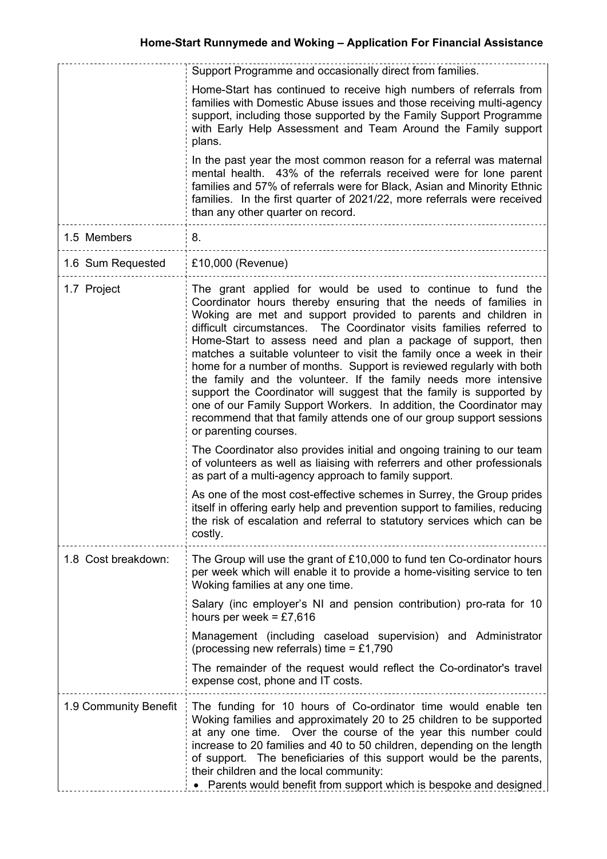|                       | Support Programme and occasionally direct from families.                                                                                                                                                                                                                                                                                                                                                                                                                                                                                                                                                                                                                                                                                                                                                        |
|-----------------------|-----------------------------------------------------------------------------------------------------------------------------------------------------------------------------------------------------------------------------------------------------------------------------------------------------------------------------------------------------------------------------------------------------------------------------------------------------------------------------------------------------------------------------------------------------------------------------------------------------------------------------------------------------------------------------------------------------------------------------------------------------------------------------------------------------------------|
|                       | Home-Start has continued to receive high numbers of referrals from<br>families with Domestic Abuse issues and those receiving multi-agency<br>support, including those supported by the Family Support Programme<br>with Early Help Assessment and Team Around the Family support<br>plans.                                                                                                                                                                                                                                                                                                                                                                                                                                                                                                                     |
|                       | In the past year the most common reason for a referral was maternal<br>mental health. 43% of the referrals received were for lone parent<br>families and 57% of referrals were for Black, Asian and Minority Ethnic<br>families. In the first quarter of 2021/22, more referrals were received<br>than any other quarter on record.                                                                                                                                                                                                                                                                                                                                                                                                                                                                             |
| 1.5 Members           | 8.                                                                                                                                                                                                                                                                                                                                                                                                                                                                                                                                                                                                                                                                                                                                                                                                              |
| 1.6 Sum Requested     | £10,000 (Revenue)                                                                                                                                                                                                                                                                                                                                                                                                                                                                                                                                                                                                                                                                                                                                                                                               |
| 1.7 Project           | The grant applied for would be used to continue to fund the<br>Coordinator hours thereby ensuring that the needs of families in<br>Woking are met and support provided to parents and children in<br>difficult circumstances. The Coordinator visits families referred to<br>Home-Start to assess need and plan a package of support, then<br>matches a suitable volunteer to visit the family once a week in their<br>home for a number of months. Support is reviewed regularly with both<br>the family and the volunteer. If the family needs more intensive<br>support the Coordinator will suggest that the family is supported by<br>one of our Family Support Workers. In addition, the Coordinator may<br>recommend that that family attends one of our group support sessions<br>or parenting courses. |
|                       | The Coordinator also provides initial and ongoing training to our team<br>of volunteers as well as liaising with referrers and other professionals<br>as part of a multi-agency approach to family support.                                                                                                                                                                                                                                                                                                                                                                                                                                                                                                                                                                                                     |
|                       | As one of the most cost-effective schemes in Surrey, the Group prides<br>itself in offering early help and prevention support to families, reducing<br>the risk of escalation and referral to statutory services which can be<br>costly.                                                                                                                                                                                                                                                                                                                                                                                                                                                                                                                                                                        |
| 1.8 Cost breakdown:   | The Group will use the grant of £10,000 to fund ten Co-ordinator hours<br>per week which will enable it to provide a home-visiting service to ten<br>Woking families at any one time.                                                                                                                                                                                                                                                                                                                                                                                                                                                                                                                                                                                                                           |
|                       | Salary (inc employer's NI and pension contribution) pro-rata for 10<br>hours per week = $£7,616$                                                                                                                                                                                                                                                                                                                                                                                                                                                                                                                                                                                                                                                                                                                |
|                       | Management (including caseload supervision) and Administrator<br>(processing new referrals) time = £1,790                                                                                                                                                                                                                                                                                                                                                                                                                                                                                                                                                                                                                                                                                                       |
|                       | The remainder of the request would reflect the Co-ordinator's travel<br>expense cost, phone and IT costs.                                                                                                                                                                                                                                                                                                                                                                                                                                                                                                                                                                                                                                                                                                       |
| 1.9 Community Benefit | The funding for 10 hours of Co-ordinator time would enable ten<br>Woking families and approximately 20 to 25 children to be supported<br>at any one time. Over the course of the year this number could<br>increase to 20 families and 40 to 50 children, depending on the length<br>of support. The beneficiaries of this support would be the parents,<br>their children and the local community:<br>• Parents would benefit from support which is bespoke and designed                                                                                                                                                                                                                                                                                                                                       |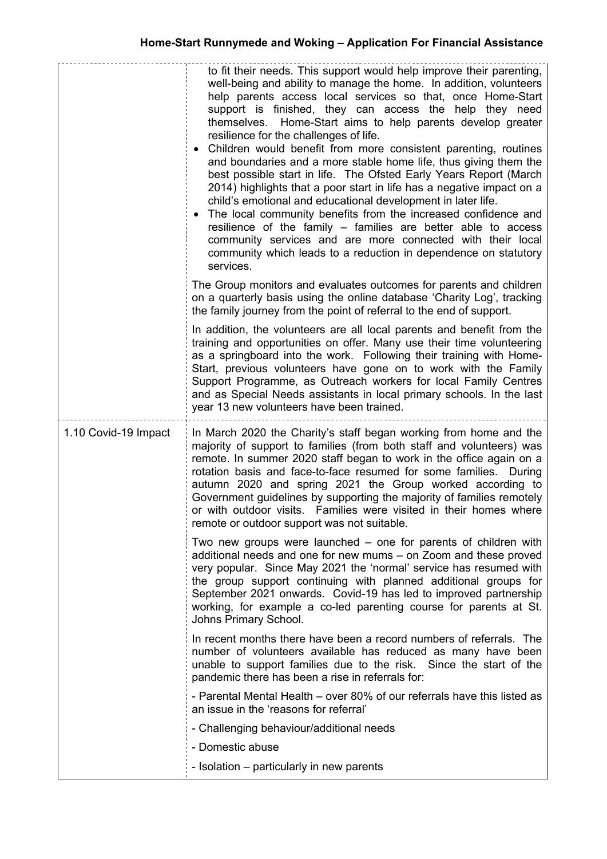|                      | to fit their needs. This support would help improve their parenting,<br>well-being and ability to manage the home. In addition, volunteers<br>help parents access local services so that, once Home-Start<br>support is finished, they can access the help they need<br>themselves. Home-Start aims to help parents develop greater<br>resilience for the challenges of life.<br>Children would benefit from more consistent parenting, routines<br>and boundaries and a more stable home life, thus giving them the<br>best possible start in life. The Ofsted Early Years Report (March<br>2014) highlights that a poor start in life has a negative impact on a<br>child's emotional and educational development in later life.<br>The local community benefits from the increased confidence and<br>resilience of the family – families are better able to access<br>community services and are more connected with their local<br>community which leads to a reduction in dependence on statutory<br>services. |
|----------------------|---------------------------------------------------------------------------------------------------------------------------------------------------------------------------------------------------------------------------------------------------------------------------------------------------------------------------------------------------------------------------------------------------------------------------------------------------------------------------------------------------------------------------------------------------------------------------------------------------------------------------------------------------------------------------------------------------------------------------------------------------------------------------------------------------------------------------------------------------------------------------------------------------------------------------------------------------------------------------------------------------------------------|
|                      | The Group monitors and evaluates outcomes for parents and children<br>on a quarterly basis using the online database 'Charity Log', tracking<br>the family journey from the point of referral to the end of support.                                                                                                                                                                                                                                                                                                                                                                                                                                                                                                                                                                                                                                                                                                                                                                                                |
|                      | In addition, the volunteers are all local parents and benefit from the<br>training and opportunities on offer. Many use their time volunteering<br>as a springboard into the work. Following their training with Home-<br>Start, previous volunteers have gone on to work with the Family<br>Support Programme, as Outreach workers for local Family Centres<br>and as Special Needs assistants in local primary schools. In the last<br>year 13 new volunteers have been trained.                                                                                                                                                                                                                                                                                                                                                                                                                                                                                                                                  |
| 1.10 Covid-19 Impact | In March 2020 the Charity's staff began working from home and the<br>majority of support to families (from both staff and volunteers) was<br>remote. In summer 2020 staff began to work in the office again on a<br>rotation basis and face-to-face resumed for some families. During<br>autumn 2020 and spring 2021 the Group worked according to<br>Government guidelines by supporting the majority of families remotely<br>or with outdoor visits. Families were visited in their homes where<br>remote or outdoor support was not suitable.                                                                                                                                                                                                                                                                                                                                                                                                                                                                    |
|                      | Two new groups were launched – one for parents of children with<br>additional needs and one for new mums - on Zoom and these proved<br>very popular. Since May 2021 the 'normal' service has resumed with<br>the group support continuing with planned additional groups for<br>September 2021 onwards. Covid-19 has led to improved partnership<br>working, for example a co-led parenting course for parents at St.<br>Johns Primary School.                                                                                                                                                                                                                                                                                                                                                                                                                                                                                                                                                                      |
|                      | In recent months there have been a record numbers of referrals. The<br>number of volunteers available has reduced as many have been<br>unable to support families due to the risk. Since the start of the<br>pandemic there has been a rise in referrals for:                                                                                                                                                                                                                                                                                                                                                                                                                                                                                                                                                                                                                                                                                                                                                       |
|                      | - Parental Mental Health – over 80% of our referrals have this listed as<br>an issue in the 'reasons for referral'                                                                                                                                                                                                                                                                                                                                                                                                                                                                                                                                                                                                                                                                                                                                                                                                                                                                                                  |
|                      | - Challenging behaviour/additional needs                                                                                                                                                                                                                                                                                                                                                                                                                                                                                                                                                                                                                                                                                                                                                                                                                                                                                                                                                                            |
|                      | - Domestic abuse                                                                                                                                                                                                                                                                                                                                                                                                                                                                                                                                                                                                                                                                                                                                                                                                                                                                                                                                                                                                    |
|                      | - Isolation – particularly in new parents                                                                                                                                                                                                                                                                                                                                                                                                                                                                                                                                                                                                                                                                                                                                                                                                                                                                                                                                                                           |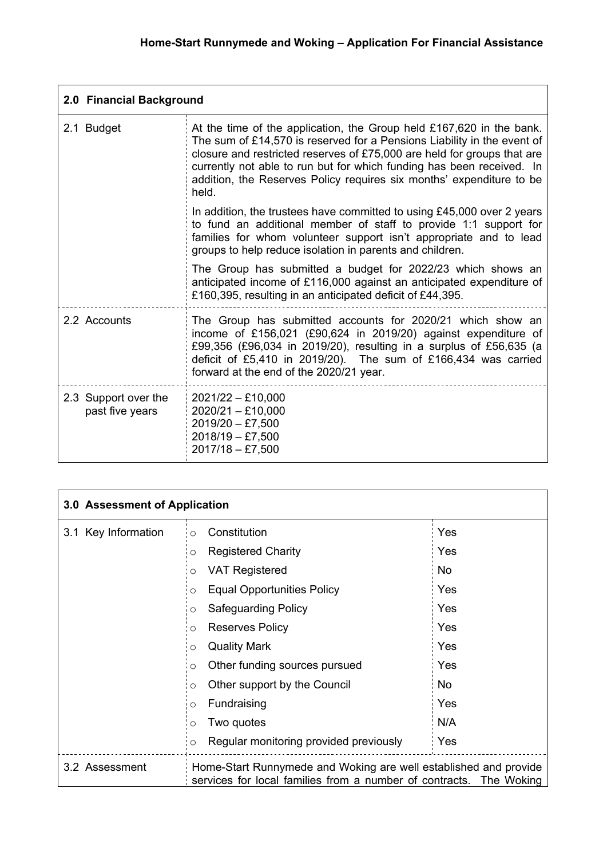| 2.0 Financial Background                |                                                                                                                                                                                                                                                                                                                                                                                      |
|-----------------------------------------|--------------------------------------------------------------------------------------------------------------------------------------------------------------------------------------------------------------------------------------------------------------------------------------------------------------------------------------------------------------------------------------|
| 2.1 Budget                              | At the time of the application, the Group held £167,620 in the bank.<br>The sum of £14,570 is reserved for a Pensions Liability in the event of<br>closure and restricted reserves of £75,000 are held for groups that are<br>currently not able to run but for which funding has been received. In<br>addition, the Reserves Policy requires six months' expenditure to be<br>held. |
|                                         | In addition, the trustees have committed to using £45,000 over 2 years<br>to fund an additional member of staff to provide 1:1 support for<br>families for whom volunteer support isn't appropriate and to lead<br>groups to help reduce isolation in parents and children.                                                                                                          |
|                                         | The Group has submitted a budget for 2022/23 which shows an<br>anticipated income of £116,000 against an anticipated expenditure of<br>£160,395, resulting in an anticipated deficit of £44,395.                                                                                                                                                                                     |
| 2.2 Accounts                            | The Group has submitted accounts for 2020/21 which show an<br>income of £156,021 (£90,624 in 2019/20) against expenditure of<br>£99,356 (£96,034 in 2019/20), resulting in a surplus of £56,635 (a<br>deficit of £5,410 in 2019/20). The sum of £166,434 was carried<br>forward at the end of the 2020/21 year.                                                                      |
| 2.3 Support over the<br>past five years | $2021/22 - £10,000$<br>$2020/21 - £10,000$<br>$2019/20 - £7,500$<br>$2018/19 - £7,500$<br>$2017/18 - £7,500$                                                                                                                                                                                                                                                                         |

| 3.0 Assessment of Application |                                                                                                                                        |           |
|-------------------------------|----------------------------------------------------------------------------------------------------------------------------------------|-----------|
| 3.1 Key Information           | Constitution<br>$\circ$                                                                                                                | Yes       |
|                               | <b>Registered Charity</b><br>O                                                                                                         | Yes       |
|                               | <b>VAT Registered</b><br>O                                                                                                             | <b>No</b> |
|                               | <b>Equal Opportunities Policy</b><br>$\circ$                                                                                           | Yes       |
|                               | <b>Safeguarding Policy</b><br>$\circ$                                                                                                  | Yes       |
|                               | <b>Reserves Policy</b><br>$\circ$                                                                                                      | Yes       |
|                               | <b>Quality Mark</b><br>$\circ$                                                                                                         | Yes       |
|                               | Other funding sources pursued<br>O                                                                                                     | Yes       |
|                               | Other support by the Council<br>O                                                                                                      | <b>No</b> |
|                               | Fundraising<br>O                                                                                                                       | Yes       |
|                               | Two quotes<br>O                                                                                                                        | N/A       |
|                               | Regular monitoring provided previously<br>$\Omega$                                                                                     | Yes       |
| 3.2 Assessment                | Home-Start Runnymede and Woking are well established and provide<br>services for local families from a number of contracts. The Woking |           |